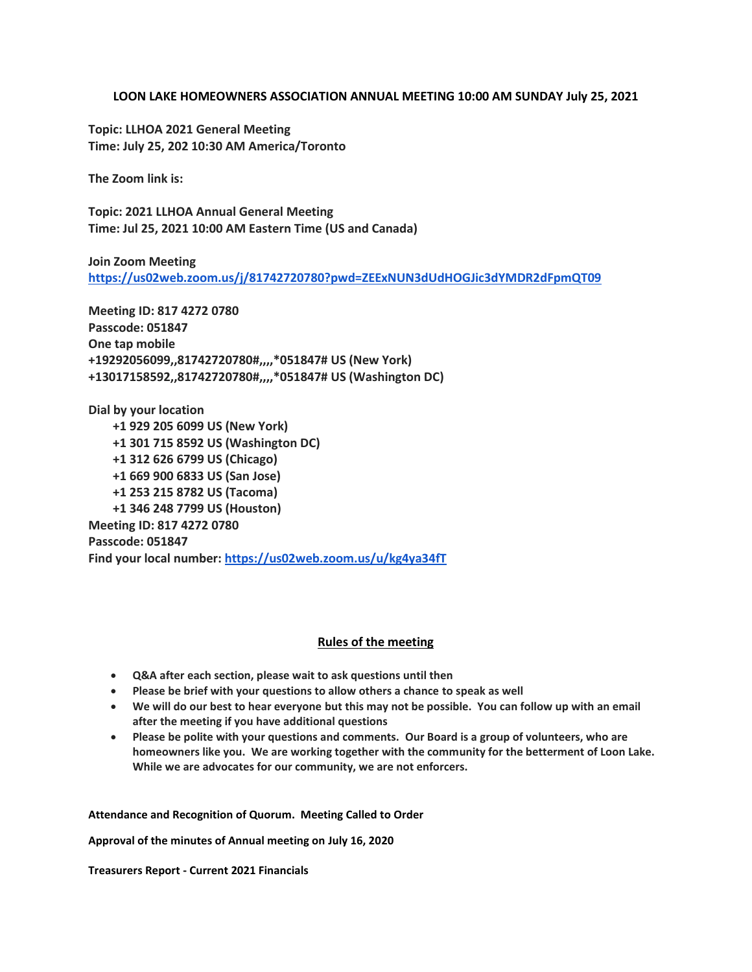## **LOON LAKE HOMEOWNERS ASSOCIATION ANNUAL MEETING 10:00 AM SUNDAY July 25, 2021**

**Topic: LLHOA 2021 General Meeting Time: July 25, 202 10:30 AM America/Toronto**

**The Zoom link is:**

**Topic: 2021 LLHOA Annual General Meeting Time: Jul 25, 2021 10:00 AM Eastern Time (US and Canada)**

**Join Zoom Meeting <https://us02web.zoom.us/j/81742720780?pwd=ZEExNUN3dUdHOGJic3dYMDR2dFpmQT09>**

**Meeting ID: 817 4272 0780 Passcode: 051847 One tap mobile +19292056099,,81742720780#,,,,\*051847# US (New York) +13017158592,,81742720780#,,,,\*051847# US (Washington DC)**

**Dial by your location +1 929 205 6099 US (New York) +1 301 715 8592 US (Washington DC) +1 312 626 6799 US (Chicago) +1 669 900 6833 US (San Jose) +1 253 215 8782 US (Tacoma) +1 346 248 7799 US (Houston) Meeting ID: 817 4272 0780 Passcode: 051847 Find your local number: <https://us02web.zoom.us/u/kg4ya34fT>**

## **Rules of the meeting**

- **Q&A after each section, please wait to ask questions until then**
- **Please be brief with your questions to allow others a chance to speak as well**
- **We will do our best to hear everyone but this may not be possible. You can follow up with an email after the meeting if you have additional questions**
- **Please be polite with your questions and comments. Our Board is a group of volunteers, who are homeowners like you. We are working together with the community for the betterment of Loon Lake. While we are advocates for our community, we are not enforcers.**

**Attendance and Recognition of Quorum. Meeting Called to Order**

**Approval of the minutes of Annual meeting on July 16, 2020**

**Treasurers Report - Current 2021 Financials**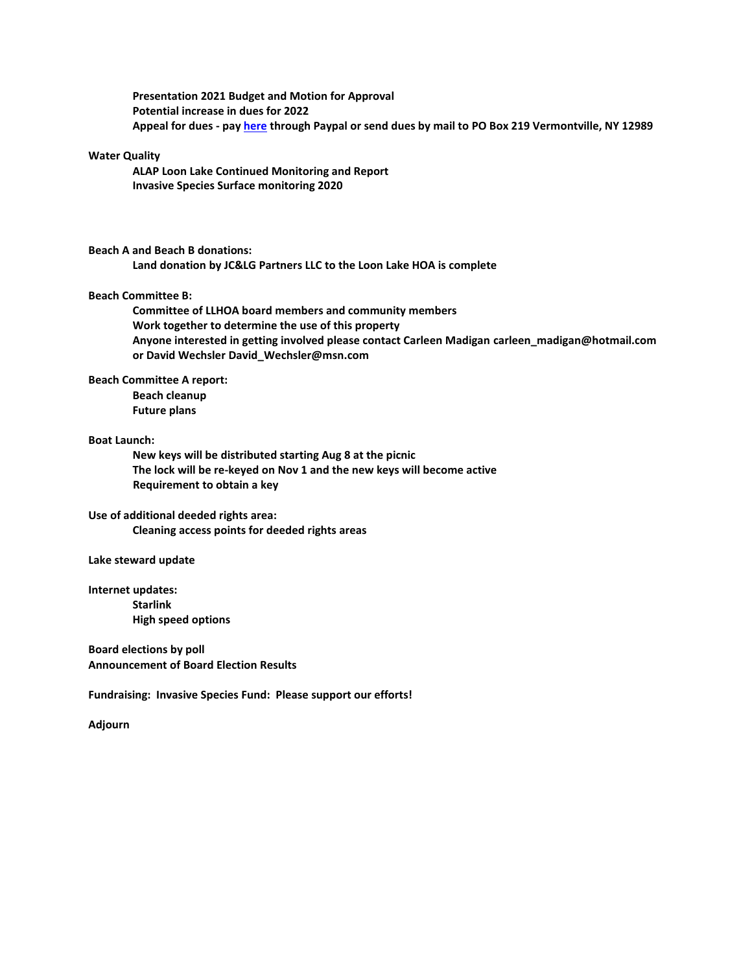**Presentation 2021 Budget and Motion for Approval Potential increase in dues for 2022 Appeal for dues - pa[y here](http://www.loonlakehoa.org/membership.html) through Paypal or send dues by mail to PO Box 219 Vermontville, NY 12989**

# **Water Quality**

**ALAP Loon Lake Continued Monitoring and Report Invasive Species Surface monitoring 2020**

## **Beach A and Beach B donations:**

**Land donation by JC&LG Partners LLC to the Loon Lake HOA is complete**

#### **Beach Committee B:**

**Committee of LLHOA board members and community members Work together to determine the use of this property Anyone interested in getting involved please contact Carleen Madigan carleen\_madigan@hotmail.com or David Wechsler David\_Wechsler@msn.com**

## **Beach Committee A report:**

**Beach cleanup Future plans**

#### **Boat Launch:**

**New keys will be distributed starting Aug 8 at the picnic The lock will be re-keyed on Nov 1 and the new keys will become active Requirement to obtain a key**

### **Use of additional deeded rights area:**

**Cleaning access points for deeded rights areas**

#### **Lake steward update**

**Internet updates: Starlink High speed options**

**Board elections by poll Announcement of Board Election Results**

**Fundraising: Invasive Species Fund: Please support our efforts!**

**Adjourn**